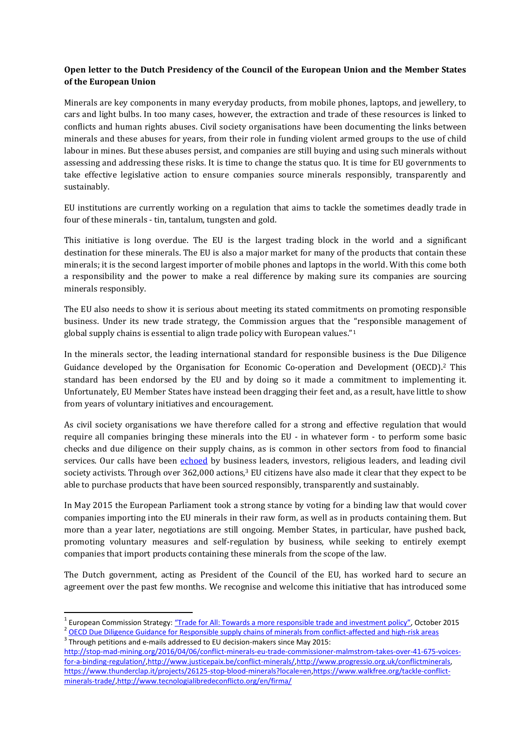## **Open letter to the Dutch Presidency of the Council of the European Union and the Member States of the European Union**

Minerals are key components in many everyday products, from mobile phones, laptops, and jewellery, to cars and light bulbs. In too many cases, however, the extraction and trade of these resources is linked to conflicts and human rights abuses. Civil society organisations have been documenting the links between minerals and these abuses for years, from their role in funding violent armed groups to the use of child labour in mines. But these abuses persist, and companies are still buying and using such minerals without assessing and addressing these risks. It is time to change the status quo. It is time for EU governments to take effective legislative action to ensure companies source minerals responsibly, transparently and sustainably.

EU institutions are currently working on a regulation that aims to tackle the sometimes deadly trade in four of these minerals - tin, tantalum, tungsten and gold.

This initiative is long overdue. The EU is the largest trading block in the world and a significant destination for these minerals. The EU is also a major market for many of the products that contain these minerals; it is the second largest importer of mobile phones and laptops in the world. With this come both a responsibility and the power to make a real difference by making sure its companies are sourcing minerals responsibly.

The EU also needs to show it is serious about meeting its stated commitments on promoting responsible business. Under its new trade strategy, the Commission argues that the "responsible management of global supply chains is essential to align trade policy with European values."<sup>1</sup>

In the minerals sector, the leading international standard for responsible business is the Due Diligence Guidance developed by the Organisation for Economic Co-operation and Development (OECD). <sup>2</sup> This standard has been endorsed by the EU and by doing so it made a commitment to implementing it. Unfortunately, EU Member States have instead been dragging their feet and, as a result, have little to show from years of voluntary initiatives and encouragement.

As civil society organisations we have therefore called for a strong and effective regulation that would require all companies bringing these minerals into the EU - in whatever form - to perform some basic checks and due diligence on their supply chains, as is common in other sectors from food to financial services. Our calls have been [echoed](http://business-humanrights.org/en/mandatory-eu-responsible-mineral-sourcing) by business leaders, investors, religious leaders, and leading civil society activists. Through over 362,000 actions,<sup>3</sup> EU citizens have also made it clear that they expect to be able to purchase products that have been sourced responsibly, transparently and sustainably.

In May 2015 the European Parliament took a strong stance by voting for a binding law that would cover companies importing into the EU minerals in their raw form, as well as in products containing them. But more than a year later, negotiations are still ongoing. Member States, in particular, have pushed back, promoting voluntary measures and self-regulation by business, while seeking to entirely exempt companies that import products containing these minerals from the scope of the law.

The Dutch government, acting as President of the Council of the EU, has worked hard to secure an agreement over the past few months. We recognise and welcome this initiative that has introduced some

1

<sup>&</sup>lt;sup>1</sup> European Commission Strategy: ["Trade for All: Towards a more responsible trade and investment policy"](http://trade.ec.europa.eu/doclib/press/index.cfm?id=1381), October 2015 <sup>2</sup> [OECD Due Diligence Guidance for Responsible supply chains of minerals from conflict-affected and high-risk areas](http://www.oecd-ilibrary.org/docserver/download/2016021e.pdf?expires=1465228384&id=id&accname=guest&checksum=CE4B431341FC3C65C638BDB9859DAB8A)  $3$  Through petitions and e-mails addressed to EU decision-makers since May 2015:

[http://stop-mad-mining.org/2016/04/06/conflict-minerals-eu-trade-commissioner-malmstrom-takes-over-41-675-voices](http://stop-mad-mining.org/2016/04/06/conflict-minerals-eu-trade-commissioner-malmstrom-takes-over-41-675-voices-for-a-binding-regulation/)[for-a-binding-regulation/,](http://stop-mad-mining.org/2016/04/06/conflict-minerals-eu-trade-commissioner-malmstrom-takes-over-41-675-voices-for-a-binding-regulation/)[http://www.justicepaix.be/conflict-minerals/,](http://www.justicepaix.be/conflict-minerals/)[http://www.progressio.org.uk/conflictminerals,](http://www.progressio.org.uk/conflictminerals) <https://www.thunderclap.it/projects/26125-stop-blood-minerals?locale=en>[,https://www.walkfree.org/tackle-conflict](https://www.walkfree.org/tackle-conflict-minerals-trade/)[minerals-trade/,](https://www.walkfree.org/tackle-conflict-minerals-trade/)<http://www.tecnologialibredeconflicto.org/en/firma/>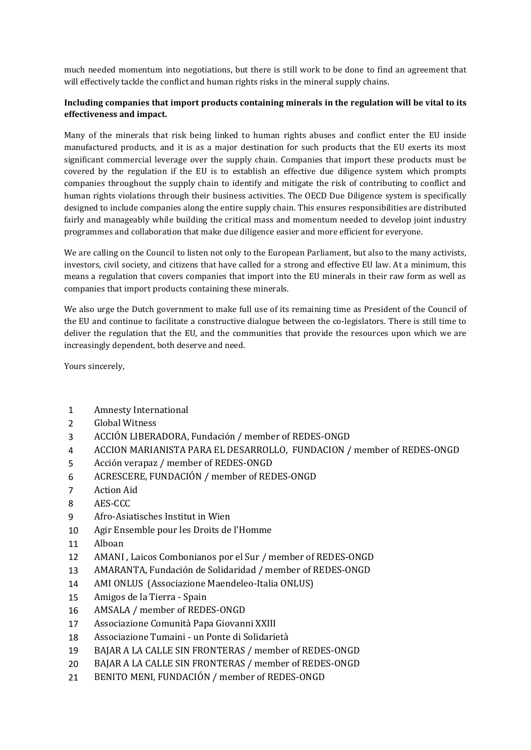much needed momentum into negotiations, but there is still work to be done to find an agreement that will effectively tackle the conflict and human rights risks in the mineral supply chains.

## **Including companies that import products containing minerals in the regulation will be vital to its effectiveness and impact.**

Many of the minerals that risk being linked to human rights abuses and conflict enter the EU inside manufactured products, and it is as a major destination for such products that the EU exerts its most significant commercial leverage over the supply chain. Companies that import these products must be covered by the regulation if the EU is to establish an effective due diligence system which prompts companies throughout the supply chain to identify and mitigate the risk of contributing to conflict and human rights violations through their business activities. The OECD Due Diligence system is specifically designed to include companies along the entire supply chain. This ensures responsibilities are distributed fairly and manageably while building the critical mass and momentum needed to develop joint industry programmes and collaboration that make due diligence easier and more efficient for everyone.

We are calling on the Council to listen not only to the European Parliament, but also to the many activists, investors, civil society, and citizens that have called for a strong and effective EU law. At a minimum, this means a regulation that covers companies that import into the EU minerals in their raw form as well as companies that import products containing these minerals.

We also urge the Dutch government to make full use of its remaining time as President of the Council of the EU and continue to facilitate a constructive dialogue between the co-legislators. There is still time to deliver the regulation that the EU, and the communities that provide the resources upon which we are increasingly dependent, both deserve and need.

Yours sincerely,

- 1 Amnesty International
- 2 Global Witness
- 3 ACCIÓN LIBERADORA, Fundación / member of REDES-ONGD
- 4 ACCION MARIANISTA PARA EL DESARROLLO, FUNDACION / member of REDES-ONGD
- 5 Acción verapaz / member of REDES-ONGD
- 6 ACRESCERE, FUNDACIÓN / member of REDES-ONGD
- 7 Action Aid
- 8 AES-CCC
- 9 Afro-Asiatisches Institut in Wien
- 10 Agir Ensemble pour les Droits de l'Homme
- 11 Alboan
- 12 AMANI , Laicos Combonianos por el Sur / member of REDES-ONGD
- 13 AMARANTA, Fundación de Solidaridad / member of REDES-ONGD
- 14 AMI ONLUS (Associazione Maendeleo-Italia ONLUS)
- 15 Amigos de la Tierra Spain
- 16 AMSALA / member of REDES-ONGD
- 17 Associazione Comunità Papa Giovanni XXIII
- 18 Associazione Tumaini un Ponte di Solidarietà
- 19 BAJAR A LA CALLE SIN FRONTERAS / member of REDES-ONGD
- 20 BAJAR A LA CALLE SIN FRONTERAS / member of REDES-ONGD
- 21 BENITO MENI, FUNDACIÓN / member of REDES-ONGD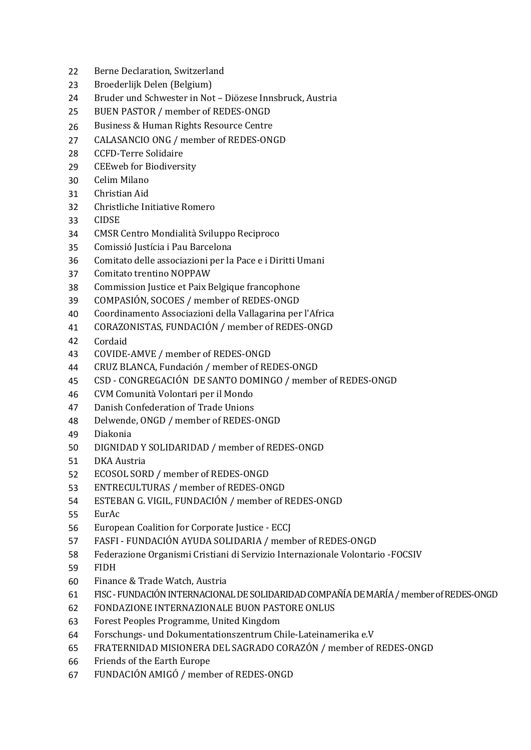- Berne Declaration, Switzerland
- Broederlijk Delen (Belgium)
- Bruder und Schwester in Not Diözese Innsbruck, Austria
- BUEN PASTOR / member of REDES-ONGD
- Business & Human Rights Resource Centre
- CALASANCIO ONG / member of REDES-ONGD
- CCFD-Terre Solidaire
- CEEweb for Biodiversity
- Celim Milano
- Christian Aid
- Christliche Initiative Romero
- CIDSE
- CMSR Centro Mondialità Sviluppo Reciproco
- Comissió Justícia i Pau Barcelona
- Comitato delle associazioni per la Pace e i Diritti Umani
- Comitato trentino NOPPAW
- Commission Justice et Paix Belgique francophone
- COMPASIÓN, SOCOES / member of REDES-ONGD
- Coordinamento Associazioni della Vallagarina per l'Africa
- CORAZONISTAS, FUNDACIÓN / member of REDES-ONGD
- Cordaid
- COVIDE-AMVE / member of REDES-ONGD
- CRUZ BLANCA, Fundación / member of REDES-ONGD
- CSD CONGREGACIÓN DE SANTO DOMINGO / member of REDES-ONGD
- CVM Comunità Volontari per il Mondo
- Danish Confederation of Trade Unions
- Delwende, ONGD / member of REDES-ONGD
- Diakonia
- DIGNIDAD Y SOLIDARIDAD / member of REDES-ONGD
- DKA Austria
- ECOSOL SORD / member of REDES-ONGD
- ENTRECULTURAS / member of REDES-ONGD
- ESTEBAN G. VIGIL, FUNDACIÓN / member of REDES-ONGD
- EurAc
- European Coalition for Corporate Justice ECCJ
- FASFI FUNDACIÓN AYUDA SOLIDARIA / member of REDES-ONGD
- Federazione Organismi Cristiani di Servizio Internazionale Volontario -FOCSIV
- FIDH
- Finance & Trade Watch, Austria
- FISC FUNDACIÓN INTERNACIONAL DE SOLIDARIDAD COMPAÑÍA DE MARÍA / member of REDES-ONGD
- FONDAZIONE INTERNAZIONALE BUON PASTORE ONLUS
- Forest Peoples Programme, United Kingdom
- Forschungs- und Dokumentationszentrum Chile-Lateinamerika e.V
- FRATERNIDAD MISIONERA DEL SAGRADO CORAZÓN / member of REDES-ONGD
- Friends of the Earth Europe
- FUNDACIÓN AMIGÓ / member of REDES-ONGD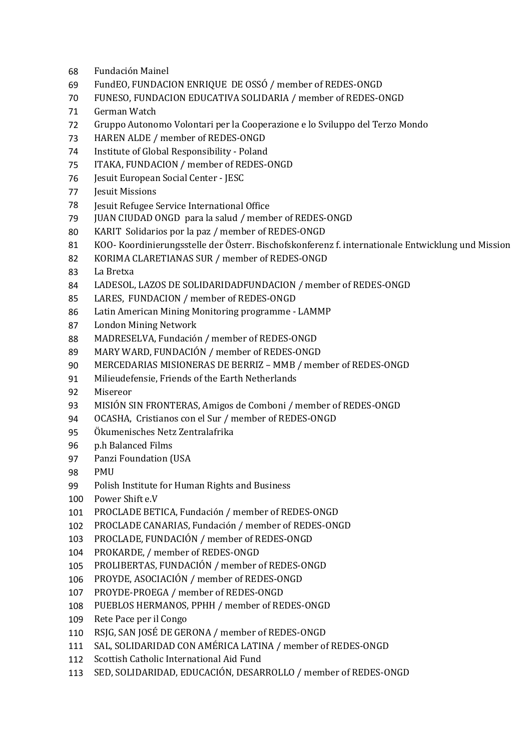- Fundación Mainel
- FundEO, FUNDACION ENRIQUE DE OSSÓ / member of REDES-ONGD
- FUNESO, FUNDACION EDUCATIVA SOLIDARIA / member of REDES-ONGD
- German Watch
- Gruppo Autonomo Volontari per la Cooperazione e lo Sviluppo del Terzo Mondo
- HAREN ALDE / member of REDES-ONGD
- Institute of Global Responsibility Poland
- ITAKA, FUNDACION / member of REDES-ONGD
- Jesuit European Social Center JESC
- Jesuit Missions
- Jesuit Refugee Service International Office
- JUAN CIUDAD ONGD para la salud / member of REDES-ONGD
- KARIT Solidarios por la paz / member of REDES-ONGD
- KOO- Koordinierungsstelle der Österr. Bischofskonferenz f. internationale Entwicklung und Mission
- KORIMA CLARETIANAS SUR / member of REDES-ONGD
- La Bretxa
- LADESOL, LAZOS DE SOLIDARIDADFUNDACION / member of REDES-ONGD
- LARES, FUNDACION / member of REDES-ONGD
- Latin American Mining Monitoring programme LAMMP
- London Mining Network
- MADRESELVA, Fundación / member of REDES-ONGD
- MARY WARD, FUNDACIÓN / member of REDES-ONGD
- MERCEDARIAS MISIONERAS DE BERRIZ MMB / member of REDES-ONGD
- Milieudefensie, Friends of the Earth Netherlands
- Misereor
- MISIÓN SIN FRONTERAS, Amigos de Comboni / member of REDES-ONGD
- OCASHA, Cristianos con el Sur / member of REDES-ONGD
- Ökumenisches Netz Zentralafrika
- p.h Balanced Films
- Panzi Foundation (USA
- PMU
- Polish Institute for Human Rights and Business
- Power Shift e.V
- PROCLADE BETICA, Fundación / member of REDES-ONGD
- PROCLADE CANARIAS, Fundación / member of REDES-ONGD
- PROCLADE, FUNDACIÓN / member of REDES-ONGD
- PROKARDE, / member of REDES-ONGD
- PROLIBERTAS, FUNDACIÓN / member of REDES-ONGD
- PROYDE, ASOCIACIÓN / member of REDES-ONGD
- PROYDE-PROEGA / member of REDES-ONGD
- PUEBLOS HERMANOS, PPHH / member of REDES-ONGD
- Rete Pace per il Congo
- RSJG, SAN JOSÉ DE GERONA / member of REDES-ONGD
- SAL, SOLIDARIDAD CON AMÉRICA LATINA / member of REDES-ONGD
- Scottish Catholic International Aid Fund
- SED, SOLIDARIDAD, EDUCACIÓN, DESARROLLO / member of REDES-ONGD